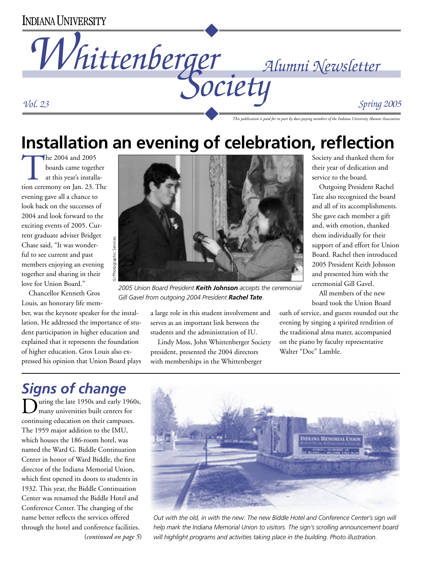### **INDIANA UNIVERSITY**



*This publication is paid for in part by dues-paying members of the Indiana University Alumni Association.*

# **Installation an evening of celebration, reflection**

The 2004 and 2005 boards came together at this year's installation ceremony on Jan. 23. The evening gave all a chance to look back on the successes of 2004 and look forward to the exciting events of 2005. Current graduate adviser Bridget Chase said, "It was wonderful to see current and past members enjoying an evening together and sharing in their love for Union Board."

Chancellor Kenneth Gros Louis, an honorary life mem-

ber, was the keynote speaker for the installation. He addressed the importance of student participation in higher education and explained that it represents the foundation of higher education. Gros Louis also expressed his opinion that Union Board plays



*2005 Union Board President Keith Johnson accepts the ceremonial Gill Gavel from outgoing 2004 President Rachel Tate.*

a large role in this student involvement and serves as an important link between the students and the administration of IU.

Lindy Moss, John Whittenberger Society president, presented the 2004 directors with memberships in the Whittenberger

Society and thanked them for their year of dedication and service to the board.

Outgoing President Rachel Tate also recognized the board and all of its accomplishments. She gave each member a gift and, with emotion, thanked them individually for their support of and effort for Union Board. Rachel then introduced 2005 President Keith Johnson and presented him with the ceremonial Gill Gavel.

All members of the new board took the Union Board

oath of service, and guests rounded out the evening by singing a spirited rendition of the traditional alma mater, accompanied on the piano by faculty representative Walter "Doc" Lamble.

### *Signs of change*

uring the late 1950s and early 1960s, many universities built centers for continuing education on their campuses. The 1959 major addition to the IMU, which houses the 186-room hotel, was named the Ward G. Biddle Continuation Center in honor of Ward Biddle, the first director of the Indiana Memorial Union, which first opened its doors to students in 1932. This year, the Biddle Continuation Center was renamed the Biddle Hotel and Conference Center. The changing of the name better reflects the services offered through the hotel and conference facilities.



will highlight programs and activities taking place in the building. Photo illustration. *Out with the old, in with the new: The new Biddle Hotel and Conference Center's sign will help mark the Indiana Memorial Union to visitors. The sign's scrolling announcement board*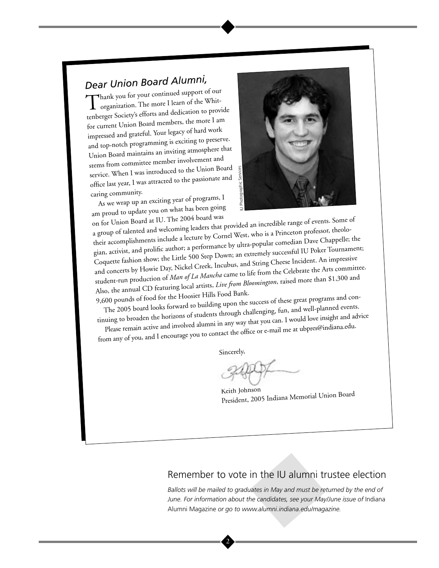*Dear Union Board Alumni,*<br>
Thank you for your continued support of our Thank you for your continued support of our<br>
organization. The more I learn of the Whittenberger Society's efforts and dedication to provide for current Union Board members, the more I am impressed and grateful. Your legacy of hard work and top-notch programming is exciting to preserve. Union Board maintains an inviting atmosphere that stems from committee member involvement and service. When I was introduced to the Union Board office last year, I was attracted to the passionate an<sup>d</sup> caring community.

As we wrap up an exciting year of programs, <sup>I</sup> am proud to update you on what has been going<br>on for Union Board at IU. The 2004 board was



on for Union Board at IU. The 2004 board was<br>a group of talented and welcoming leaders that provided an incredible range of events. Some of<br>a group of talented and welcoming leaders that provided an incredible range of eve their accomplishments include a lecture by Cornel West, who is a Princeton professor, theologian, activist, and prolific author; a performance by ultra-popular comedian Dave Chappelle; the Coquette fashion show; the Little 500 Step Down; an extremely successful IU Poker Tournament; and concerts by Howie Day, Nickel Creek, Incubus, and String Cheese Incident. An impressive student-run production of *Man of La Mancha* came to life from the Celebrate the Arts committee. Also, the annual CD featuring local artists, *Live from Bloomington*, raised more than \$1,300 an<sup>d</sup> 9,600 pounds of food for the Hoosier Hills Food Bank. ed to the Union Board services and the total services and the passionate and services and strip of policial coming leaders that provided an incredible range of events. So coming leaders that provided an incredible range of

The 2005 board looks forward to building upon the success of these great programs and con-

tinuing to broaden the horizons of students through challenging, fun, and well-planned events. Please remain active and involved alumni in any way that you can. I would love insight and advice

from any of you, and I encourage you to contact the office or e-mail me at ubpres@indiana.edu.

Sincerely,

2

Keith Johnson President, 2005 Indiana Memorial Union Board

#### Remember to vote in the IU alumni trustee election

*Ballots will be mailed to graduates in May and must be returned by the end of*  June. For information about the candidates, see your May/June issue of Indiana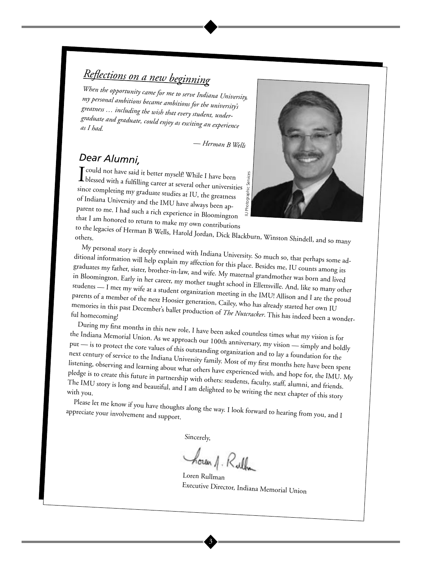## *Reflections on a new beginning*

*When the opportunity came for me to serve Indiana University, my personal ambitions became ambitions for the university's greatness … including the wish that every student, undergraduate and graduate, could enjoy as exciting an experience as I had.*

— *Herman B Wells*

#### *Dear Alumni,*

 $\int_{\text{blessed with a f.iLill}}^{\text{could not have said it better myself:} \text{While I have been}}$ **I** blessed with a fulfilling career at several other universities<br>since completing my graduate studies at IU, the greatness<br>of Indiana University and the IMU have always been apsince completing my graduate studies at IU, the greatness of Indiana University and the IMU have always been apparent to me. I had such a rich experience in Bloomington that I am honored to return to make my own contributions



to the legacies of Herman B Wells, Harold Jordan, Dick Blackburn, Winston Shindell, and so many<br>others.

My personal story is deeply entwined with Indiana University. So much so, that perhaps some additional information will help explain my affection for this place. Besides me, IU counts among its<br>graduates my father, sister, brother-in-law, and wife. My may be also that I counts among its graduates my father, sister, brother-in-law, and wife. My maternal grandmother was born and lived in Bloomington. Early in her career, my mother taught school in Ellettsville. And, like so many other students — I met my wife at a student organization meeting in the IMU! Allison and I are the proud parents of a member of the next Hoosier generation, Cailey, who has already started her own IU memories in this past December's ballet production of *The Nutcracker*. This has indeed been a wonder-<br>ful homecoming! Exercise of the generator, Indiana Memorial Union<br>
Exercise of the greatness<br>
ve always been applies the diversity of the greatness<br>
ve always been applies to the greatness<br>
by own contributions<br>
old Jordan, Dick Blackbur

During my first months in this new role, I have been asked countless times what my vision is for the Indiana Memorial Union. As we approach our 100th anniversary, my vision — simply and boldly put — is to protect the core values of this outstanding organization and to lay a foundation for the next century of service to the Indiana University family. Most of my first months here have been spent listening, observing and learning about what others have experienced with, and hope for, the IMU. My <sup>p</sup>ledge is to create this future in partnership with others: students, faculty, staff, alumni, and friends. The IMU story is long and beautiful, and I am delighted to be writing the next chapter of this story with you.

Please let me know if you have thoughts along the way. I look forward to hearing from you, and I appreciate your involvement and support.

Sincerely,

3

Loren Rullman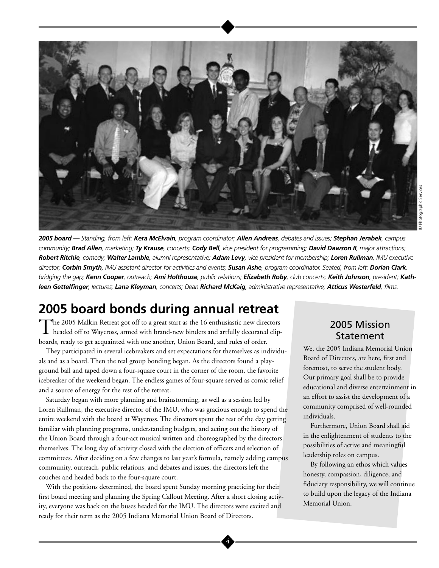

*2005 board — Standing, from left: Kera McElvain, program coordinator; Allen Andreas, debates and issues; Stephan Jerabek, campus*  community; Brad Allen, marketing; Ty Krause, concerts; Cody Bell, vice president for programming; David Dawson II, major attractions; *Robert Ritchie, comedy; Walter Lamble, alumni representative; Adam Levy, vice president for membership; Loren Rullman, IMU executive director; Corbin Smyth, IMU assistant director for activities and events; Susan Ashe, program coordinator. Seated, from left: Dorian Clark, bridging the gap; Kenn Cooper, outreach; Ami Holthouse, public relations; Elizabeth Roby, club concerts; Keith Johnson, president; Kathleen Gettelfinger, lectures; Lana Kleyman, concerts; Dean Richard McKaig, administrative representative; Atticus Westerfeld, films.*

### **2005 board bonds during annual retreat**

The 2005 Malkin Retreat got off to a great start as the 16 enthusiastic new directors<br>headed off to Waycross, armed with brand-new binders and artfully decorated clipboards, ready to get acquainted with one another, Union Board, and rules of order.

They participated in several icebreakers and set expectations for themselves as individuals and as a board. Then the real group bonding began. As the directors found a playground ball and taped down a four-square court in the corner of the room, the favorite icebreaker of the weekend began. The endless games of four-square served as comic relief and a source of energy for the rest of the retreat.

Saturday began with more planning and brainstorming, as well as a session led by Loren Rullman, the executive director of the IMU, who was gracious enough to spend the entire weekend with the board at Waycross. The directors spent the rest of the day getting familiar with planning programs, understanding budgets, and acting out the history of the Union Board through a four-act musical written and choreographed by the directors themselves. The long day of activity closed with the election of officers and selection of committees. After deciding on a few changes to last year's formula, namely adding campus community, outreach, public relations, and debates and issues, the directors left the couches and headed back to the four-square court.

With the positions determined, the board spent Sunday morning practicing for their first board meeting and planning the Spring Callout Meeting. After a short closing activity, everyone was back on the buses headed for the IMU. The directors were excited and ready for their term as the 2005 Indiana Memorial Union Board of Directors.

#### 2005 Mission Statement

We, the 2005 Indiana Memorial Union Board of Directors, are here, first and foremost, to serve the student body. Our primary goal shall be to provide educational and diverse entertainment in an effort to assist the development of a community comprised of well-rounded individuals.

Furthermore, Union Board shall aid in the enlightenment of students to the possibilities of active and meaningful leadership roles on campus.

By following an ethos which values honesty, compassion, diligence, and fiduciary responsibility, we will continue to build upon the legacy of the Indiana Memorial Union.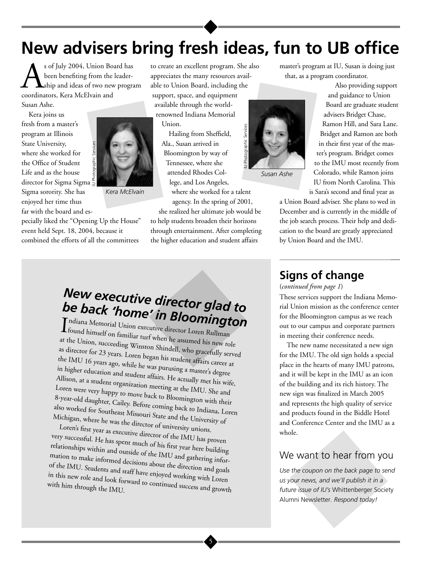# **New advisers bring fresh ideas, fun to UB office**

 $\sum_{\text{shear}}$  s of July 2004, Union Board has<br>been benefiting from the leader-<br>ship and ideas of two new progra been benefiting from the leader-**L**ship and ideas of two new program coordinators, Kera McElvain and Susan Ashe.

Kera joins us fresh from a master's program at Illinois State University, where she worked for the Office of Student Life and as the house director for Sigma Sigma  $\frac{a}{2}$ Sigma sorority. She has enjoyed her time thus far with the board and es-



*Kera McElvain*

pecially liked the "Opening Up the House" event held Sept. 18, 2004, because it combined the efforts of all the committees

to create an excellent program. She also appreciates the many resources available to Union Board, including the support, space, and equipment available through the worldrenowned Indiana Memorial Union. IU Photographic Services

Hailing from Sheffield, Ala., Susan arrived in Bloomington by way of Tennessee, where she attended Rhodes College, and Los Angeles,

where she worked for a talent agency. In the spring of 2001,

she realized her ultimate job would be to help students broaden their horizons through entertainment. After completing the higher education and student affairs

5

master's program at IU, Susan is doing just that, as a program coordinator.



*Susan Ashe*

Also providing support and guidance to Union Board are graduate student advisers Bridget Chase, Ramon Hill, and Sara Lane. Bridget and Ramon are both in their first year of the master's program. Bridget comes to the IMU most recently from Colorado, while Ramon joins IU from North Carolina. This

is Sara's second and final year as a Union Board adviser. She plans to wed in December and is currently in the middle of the job search process. Their help and dedication to the board are greatly appreciated by Union Board and the IMU.

# *New executive director glad to be back 'home' in Bloomington*

Indiana Memorial Union executive director Loren Rullman found himself on familiar turf when he assumed his new role<br>the Union, succeeding Wington SL: Ligarity has new role at the Union, succeeding Winston Shindell, who gracefully served as director for 23 years. Loren began his student affairs career at the IMU 16 years ago, while he was purusing a master's degree in higher education and student affairs. He actually met his wife, Allison, at a student organization meeting at the IMU. She and Loren were very happy to move back to Bloomington with their 8-year-old daughter, Cailey. Before coming back to Indiana, Loren also worked for Southeast Missouri State and the University of Michigan, where he was the director of university unions. versity,<br>
e worked for<br>
e of Student<br>
as the house<br>
or Sigma Sigma  $\frac{2}{3}$ <br>
rority. She has<br>
her time thus<br>
he board and es-<br>
ked the "Opening Up the H<br>
d Sept. 18, 2004, because it<br>
the efforts of all the comm<br>
the Boar

Loren's first year as executive director of the IMU has proven very successful. He has spent much of his first year here building relationships within and outside of the IMU and gathering information to make informed decisions about the direction and goals of the IMU. Students and staff have enjoyed working with Loren<br>in this new role and look forward to continued success and growt<br>with him through the IMIT in this new role and look forward to continued success and growth

#### **Signs of change**

(*continued from page 1*)

These services support the Indiana Memorial Union mission as the conference center for the Bloomington campus as we reach out to our campus and corporate partners in meeting their conference needs.

The new name necessitated a new sign for the IMU. The old sign holds a special place in the hearts of many IMU patrons, and it will be kept in the IMU as an icon of the building and its rich history. The new sign was finalized in March 2005 and represents the high quality of service and products found in the Biddle Hotel and Conference Center and the IMU as a whole.

#### We want to hear from you

*Use the coupon on the back page to send us your news, and we'll publish it in a future issue of IU's* Whittenberger Society Alumni Newsletter*. Respond today!*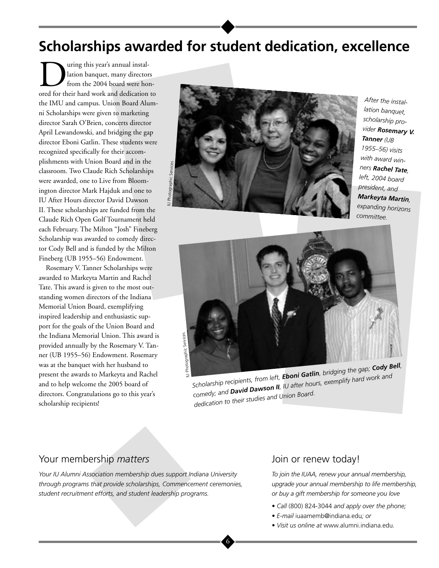### **Scholarships awarded for student dedication, excellence**

lation banquet, many director<br>from the 2004 board were ho lation banquet, many directors from the 2004 board were honored for their hard work and dedication to the IMU and campus. Union Board Alumni Scholarships were given to marketing director Sarah O'Brien, concerts director April Lewandowski, and bridging the gap director Eboni Gatlin. These students were recognized specifically for their accomplishments with Union Board and in the classroom. Two Claude Rich Scholarships were awarded, one to Live from Bloomington director Mark Hajduk and one to IU After Hours director David Dawson II. These scholarships are funded from the Claude Rich Open Golf Tournament held each February. The Milton "Josh" Fineberg Scholarship was awarded to comedy director Cody Bell and is funded by the Milton Fineberg (UB 1955–56) Endowment.

Rosemary V. Tanner Scholarships were awarded to Markeyta Martin and Rachel Tate. This award is given to the most outstanding women directors of the Indiana Memorial Union Board, exemplifying inspired leadership and enthusiastic support for the goals of the Union Board and the Indiana Memorial Union. This award is provided annually by the Rosemary V. Tanner (UB 1955–56) Endowment. Rosemary was at the banquet with her husband to present the awards to Markeyta and Rachel and to help welcome the 2005 board of directors. Congratulations go to this year's scholarship recipients!



*After the installation banquet, scholarship provider Rosemary V. Tanner (UB 1955–56) visits with award winners Rachel Tate, left, 2004 board president, and Markeyta Martin, expanding horizons committee.*



*Scholarship recipients, from left, Eboni Gatlin, bridging the gap; Cody Bell, comedy; an<sup>d</sup>David Dawson II, IU after hours, exemplify hard work and dedication to their studies and Union Board.*

6

#### Your membership *matters*

*Your IU Alumni Association membership dues support Indiana University through programs that provide scholarships, Commencement ceremonies, student recruitment efforts, and student leadership programs.*

#### Join or renew today!

*To join the IUAA, renew your annual membership, upgrade your annual membership to life membership, or buy a gift membership for someone you love*

- *Call* (800) 824-3044 *and apply over the phone;*
- *E-mail* iuaamemb@indiana.edu*; or*
- *Visit us online at* www.alumni.indiana.edu*.*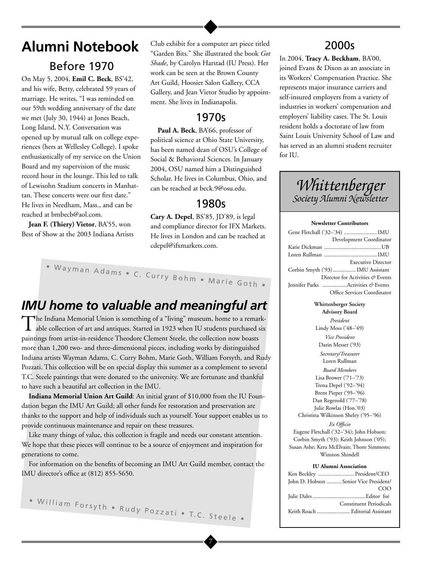### **Alumni Notebook** Before 1970

On May 5, 2004, **Emil C. Beck**, BS'42, and his wife, Betty, celebrated 59 years of marriage. He writes, "I was reminded on our 59th wedding anniversary of the date we met (July 30, 1944) at Jones Beach, Long Island, N.Y. Conversation was opened up by mutual talk on college experiences (hers at Wellesley College). I spoke enthusiastically of my service on the Union Board and my supervision of the music record hour in the lounge. This led to talk of Lewisohn Stadium concerts in Manhattan. These concerts were our first date." He lives in Needham, Mass., and can be reached at bmbecb@aol.com.

**Jean F. (Thiery) Vietor**, BA'55, won Best of Show at the 2003 Indiana Artists Club exhibit for a computer art piece titled "Garden Bits." She illustrated the book *Got Shade*, by Carolyn Harstad (IU Press). Her work can be seen at the Brown County Art Guild, Hoosier Salon Gallery, CCA Gallery, and Jean Vietor Studio by appointment. She lives in Indianapolis.

#### 1970s

**Paul A. Beck**, BA'66, professor of political science at Ohio State University, has been named dean of OSU's College of Social & Behavioral Sciences. In January 2004, OSU named him a Distinguished Scholar. He lives in Columbus, Ohio, and can be reached at beck.9@osu.edu.

#### 1980s

**Cary A. Depel**, BS'85, JD'89, is legal and compliance director for IFX Markets. He lives in London and can be reached at cdepel@ifxmarkets.com.

 $\bullet$   $W$ ayman Adams  $\bullet$  C. Curry Bohm  $\bullet$  Marie Goth  $\bullet$ 

### *IMU home to valuable and meaningful art*

The Indiana Memorial Union is something of a "living" museum, home to a remarkable collection of art and antiques. Started in 1923 when IU students purchased six paintings from artist-in-residence Theodore Clement Steele, the collection now boasts more than 1,200 two- and three-dimensional pieces, including works by distinguished Indiana artists Wayman Adams, C. Curry Bohm, Marie Goth, William Forsyth, and Rudy Pozzati. This collection will be on special display this summer as a complement to several T.C. Steele paintings that were donated to the university. We are fortunate and thankful to have such a beautiful art collection in the IMU.

**Indiana Memorial Union Art Guild**: An initial grant of \$10,000 from the IU Foundation began the IMU Art Guild; all other funds for restoration and preservation are thanks to the support and help of individuals such as yourself. Your support enables us to provide continuous maintenance and repair on these treasures.

Like many things of value, this collection is fragile and needs our constant attention. We hope that these pieces will continue to be a source of enjoyment and inspiration for generations to come.

For information on the benefits of becoming an IMU Art Guild member, contact the IMU director's office at (812) 855-5650.

• William Forsyth • Rudy Pozzati • T.C. Steele •

7

#### 2000s

In 2004, **Tracy A. Beckham**, BA'00, joined Evans & Dixon as an associate in its Workers' Compensation Practice. She represents major insurance carriers and self-insured employers from a variety of industries in workers' compensation and employers' liability cases. The St. Louis resident holds a doctorate of law from Saint Louis University School of Law and has served as an alumni student recruiter for IU.



#### **Newsletter Contributors**

| Gene Fletchall ('32-'34)  IMU      |
|------------------------------------|
| Development Coordinator            |
|                                    |
|                                    |
| <b>Executive Director</b>          |
| Corbin Smyth ('93) IMU Assistant   |
| Director for Activities & Events   |
| Jennifer Parks Activities & Events |
| Office Services Coordinator        |

**Whittenberger Society Advisory Board** *President* Lindy Moss ('48–'49) *Vice President* Darin Messer ('93) *Secretary/Treasurer* Loren Rullman *Board Members* Lisa Brower ('71–'73) Trena Depel ('92–'94) Brent Pieper ('95–'96) Dan Regenold ('77-'78) Julie Rowlas (Hon.'03) Christina Wilkinson Sheley ('95–'96) *Ex Officio* Eugene Fletchall ('32–'34); John Hobson; Corbin Smyth ('93); Keith Johnson ('05); Susan Ashe; Kera McElvain; Thom Simmons; Winston Shindell

#### **IU Alumni Association**

| Ken Beckley  President/CEO             |
|----------------------------------------|
| John D. Hobson  Senior Vice President/ |
| COO                                    |
|                                        |
| <b>Constituent Periodicals</b>         |
|                                        |